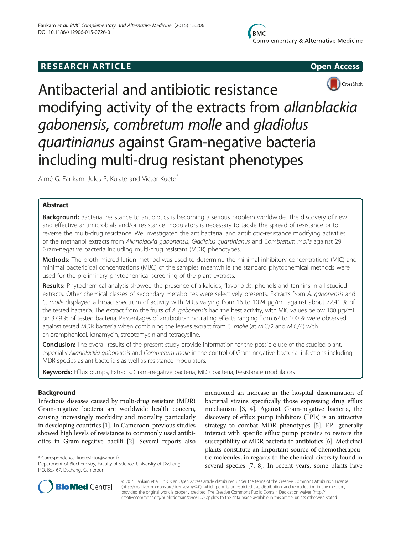# **RESEARCH ARTICLE Example 2014 CONSIDERING CONSIDERING CONSIDERING CONSIDERING CONSIDERING CONSIDERING CONSIDERING CONSIDERING CONSIDERING CONSIDERING CONSIDERING CONSIDERING CONSIDERING CONSIDERING CONSIDERING CONSIDE**





Antibacterial and antibiotic resistance modifying activity of the extracts from allanblackia gabonensis, combretum molle and gladiolus quartinianus against Gram-negative bacteria including multi-drug resistant phenotypes

Aimé G. Fankam, Jules R. Kuiate and Victor Kuete<sup>\*</sup>

# Abstract

**Background:** Bacterial resistance to antibiotics is becoming a serious problem worldwide. The discovery of new and effective antimicrobials and/or resistance modulators is necessary to tackle the spread of resistance or to reverse the multi-drug resistance. We investigated the antibacterial and antibiotic-resistance modifying activities of the methanol extracts from Allanblackia gabonensis, Gladiolus quartinianus and Combretum molle against 29 Gram-negative bacteria including multi-drug resistant (MDR) phenotypes.

Methods: The broth microdilution method was used to determine the minimal inhibitory concentrations (MIC) and minimal bactericidal concentrations (MBC) of the samples meanwhile the standard phytochemical methods were used for the preliminary phytochemical screening of the plant extracts.

Results: Phytochemical analysis showed the presence of alkaloids, flavonoids, phenols and tannins in all studied extracts. Other chemical classes of secondary metabolites were selectively presents. Extracts from A. gabonensis and C. molle displayed a broad spectrum of activity with MICs varying from 16 to 1024 μg/mL against about 72.41 % of the tested bacteria. The extract from the fruits of A. gabonensis had the best activity, with MIC values below 100 μg/mL on 37.9 % of tested bacteria. Percentages of antibiotic-modulating effects ranging from 67 to 100 % were observed against tested MDR bacteria when combining the leaves extract from C. molle (at MIC/2 and MIC/4) with chloramphenicol, kanamycin, streptomycin and tetracycline.

Conclusion: The overall results of the present study provide information for the possible use of the studied plant, especially Allanblackia gabonensis and Combretum molle in the control of Gram-negative bacterial infections including MDR species as antibacterials as well as resistance modulators.

Keywords: Efflux pumps, Extracts, Gram-negative bacteria, MDR bacteria, Resistance modulators

# Background

Infectious diseases caused by multi-drug resistant (MDR) Gram-negative bacteria are worldwide health concern, causing increasingly morbidity and mortality particularly in developing countries [[1](#page-10-0)]. In Cameroon, previous studies showed high levels of resistance to commonly used antibiotics in Gram-negative bacilli [\[2](#page-10-0)]. Several reports also

\* Correspondence: [kuetevictor@yahoo.fr](mailto:kuetevictor@yahoo.fr)

Department of Biochemistry, Faculty of science, University of Dschang, P.O. Box 67, Dschang, Cameroon

mentioned an increase in the hospital dissemination of bacterial strains specifically those expressing drug efflux mechanism [\[3, 4](#page-10-0)]. Against Gram-negative bacteria, the discovery of efflux pump inhibitors (EPIs) is an attractive strategy to combat MDR phenotypes [\[5\]](#page-10-0). EPI generally interact with specific efflux pump proteins to restore the susceptibility of MDR bacteria to antibiotics [\[6\]](#page-10-0). Medicinal plants constitute an important source of chemotherapeutic molecules, in regards to the chemical diversity found in several species [[7](#page-10-0), [8\]](#page-10-0). In recent years, some plants have



© 2015 Fankam et al. This is an Open Access article distributed under the terms of the Creative Commons Attribution License [\(http://creativecommons.org/licenses/by/4.0\)](http://creativecommons.org/licenses/by/4.0), which permits unrestricted use, distribution, and reproduction in any medium, provided the original work is properly credited. The Creative Commons Public Domain Dedication waiver [\(http://](http://creativecommons.org/publicdomain/zero/1.0/) [creativecommons.org/publicdomain/zero/1.0/\)](http://creativecommons.org/publicdomain/zero/1.0/) applies to the data made available in this article, unless otherwise stated.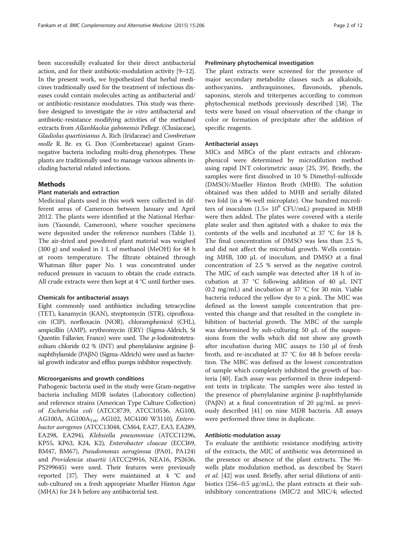been successfully evaluated for their direct antibacterial action, and for their antibiotic-modulation activity [\[9](#page-10-0)–[12](#page-10-0)]. In the present work, we hypothesized that herbal medicines traditionally used for the treatment of infectious diseases could contain molecules acting as antibacterial and/ or antibiotic-resistance modulators. This study was therefore designed to investigate the *in vitro* antibacterial and antibiotic-resistance modifying activities of the methanol extracts from Allanblackia gabonensis Pellegr. (Clusiaceae), Gladiolus quartinianus A. Rich (Iridaceae) and Combretum molle R. Br. ex G. Don (Combretaceae) against Gramnegative bacteria including multi-drug phenotypes. These plants are traditionally used to manage various ailments including bacterial related infections.

## **Methods**

# Plant materials and extraction

Medicinal plants used in this work were collected in different areas of Cameroon between January and April 2012. The plants were identified at the National Herbarium (Yaoundé, Cameroon), where voucher specimens were deposited under the reference numbers (Table [1](#page-2-0)). The air-dried and powdered plant material was weighed (300 g) and soaked in 1 L of methanol (MeOH) for 48 h at room temperature. The filtrate obtained through Whatman filter paper No. 1 was concentrated under reduced pressure in vacuum to obtain the crude extracts. All crude extracts were then kept at 4 °C until further uses.

#### Chemicals for antibacterial assays

Eight commonly used antibiotics including tetracycline (TET), kanamycin (KAN), streptomycin (STR), ciprofloxacin (CIP), norfloxacin (NOR), chloramphenicol (CHL), ampicillin (AMP), erythromycin (ERY) (Sigma-Aldrich, St Quentin Fallavier, France) were used. The p-Iodonitrotetrazolium chloride 0.2 % (INT) and phenylalanine arginine βnaphthylamide (PAβN) (Sigma-Aldrich) were used as bacterial growth indicator and efflux pumps inhibitor respectively.

#### Microorganisms and growth conditions

Pathogenic bacteria used in the study were Gram-negative bacteria including MDR isolates (Laboratory collection) and reference strains (American Type Culture Collection) of Escherichia coli (ATCC8739, ATCC10536, AG100, AG100A, AG100 $A_{Tet}$ , AG102, MC4100 W3110), *Entero*bacter aerogenes (ATCC13048, CM64, EA27, EA3, EA289, EA298, EA294), Klebsiella pneumoniae (ATCC11296, KP55, KP63, K24, K2), Enterobacter cloacae (ECCI69, BM47, BM67), Pseudomonas aeruginosa (PA01, PA124) and Providencia stuartii (ATCC29916, NEA16, PS2636, PS299645) were used. Their features were previously reported [[37](#page-11-0)]. They were maintained at 4 °C and sub-cultured on a fresh appropriate Mueller Hinton Agar (MHA) for 24 h before any antibacterial test.

#### Preliminary phytochemical investigation

The plant extracts were screened for the presence of major secondary metabolite classes such as alkaloids, anthocyanins, anthraquinones, flavonoids, phenols, saponins, sterols and triterpenes according to common phytochemical methods previously described [\[38](#page-11-0)]. The tests were based on visual observation of the change in color or formation of precipitate after the addition of specific reagents.

#### Antibacterial assays

MICs and MBCs of the plant extracts and chloramphenicol were determined by microdilution method using rapid INT colorimetric assay [\[25,](#page-10-0) [39\]](#page-11-0). Briefly, the samples were first dissolved in 10 % Dimethyl-sulfoxide (DMSO)/Mueller Hinton Broth (MHB). The solution obtained was then added to MHB and serially diluted two fold (in a 96-well microplate). One hundred microliters of inoculum  $(1.5 \times 10^6 \text{ CFU/mL})$  prepared in MHB were then added. The plates were covered with a sterile plate sealer and then agitated with a shaker to mix the contents of the wells and incubated at 37 °C for 18 h. The final concentration of DMSO was less than 2.5 %, and did not affect the microbial growth. Wells containing MHB, 100 μL of inoculum, and DMSO at a final concentration of 2.5 % served as the negative control. The MIC of each sample was detected after 18 h of incubation at 37 °C following addition of 40 μL INT (0.2 mg/mL) and incubation at 37 °C for 30 min. Viable bacteria reduced the yellow dye to a pink. The MIC was defined as the lowest sample concentration that prevented this change and that resulted in the complete inhibition of bacterial growth. The MBC of the sample was determined by sub-culturing 50 μL of the suspensions from the wells which did not show any growth after incubation during MIC assays to 150 μl of fresh broth, and re-incubated at 37 °C for 48 h before revelation. The MBC was defined as the lowest concentration of sample which completely inhibited the growth of bacteria [[40](#page-11-0)]. Each assay was performed in three independent tests in triplicate. The samples were also tested in the presence of phenylalanine arginine β-naphthylamide (PAβN) at a final concentration of 20 μg/mL as previously described [[41\]](#page-11-0) on nine MDR bacteria. All assays were performed three time in duplicate.

## Antibiotic-modulation assay

To evaluate the antibiotic resistance modifying activity of the extracts, the MIC of antibiotic was determined in the presence or absence of the plant extracts. The 96 wells plate modulation method, as described by Stavri et al. [[42\]](#page-11-0) was used. Briefly, after serial dilutions of antibiotics (256–0.5 μg/mL), the plant extracts at their subinhibitory concentrations (MIC/2 and MIC/4; selected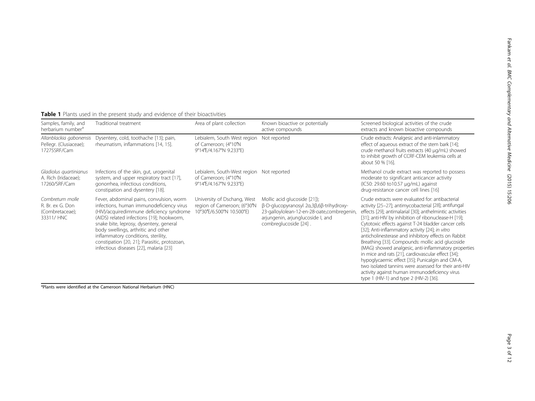| Samples, family, and<br>herbarium number <sup>a</sup>                | Traditional treatment                                                                                                                                                                                                                                                                                                                                                                            | Area of plant collection                                                                    | Known bioactive or potentially<br>active compounds                                                                                                                                                                    | Screened biological activities of the crude<br>extracts and known bioactive compounds                                                                                                                                                                                                                                                                                                                                                                                                                                                                                                                                                                                                                                                                                   |
|----------------------------------------------------------------------|--------------------------------------------------------------------------------------------------------------------------------------------------------------------------------------------------------------------------------------------------------------------------------------------------------------------------------------------------------------------------------------------------|---------------------------------------------------------------------------------------------|-----------------------------------------------------------------------------------------------------------------------------------------------------------------------------------------------------------------------|-------------------------------------------------------------------------------------------------------------------------------------------------------------------------------------------------------------------------------------------------------------------------------------------------------------------------------------------------------------------------------------------------------------------------------------------------------------------------------------------------------------------------------------------------------------------------------------------------------------------------------------------------------------------------------------------------------------------------------------------------------------------------|
| Allanblackia gabonensis<br>Pellegr. (Clusiaceae);<br>17275SRF/Cam    | Dysentery, cold, toothache [13]; pain,<br>rheumatism, inflammations [14, 15].                                                                                                                                                                                                                                                                                                                    | Lebialem, South West region Not reported<br>of Cameroon; (4°10'N<br>9°14'E/4.167°N 9.233°E) |                                                                                                                                                                                                                       | Crude extracts: Analgesic and anti-inlammatory<br>effect of aqueous extract of the stem bark [14];<br>crude methanol fruits extracts (40 µg/mL) showed<br>to inhibit growth of CCRF-CEM leukemia cells at<br>about 50 % [16].                                                                                                                                                                                                                                                                                                                                                                                                                                                                                                                                           |
| Gladiolus quartinianus<br>A. Rich (Iridaceae);<br>17260/SRF/Cam      | Infections of the skin, gut, urogenital<br>system, and upper respiratory tract [17],<br>gonorrhea, infectious conditions,<br>constipation and dysentery [18].                                                                                                                                                                                                                                    | Lebialem, South-West region Not reported<br>of Cameroon; (4°10'N<br>9°14'E/4.167°N 9.233°E) |                                                                                                                                                                                                                       | Methanol crude extract was reported to possess<br>moderate to significant anticancer activity<br>(IC50: 29.60 to10.57 µg/mL) against<br>drug-resistance cancer cell lines [16]                                                                                                                                                                                                                                                                                                                                                                                                                                                                                                                                                                                          |
| Combretum molle<br>R. Br. ex G. Don<br>(Combretaceae);<br>33311/ HNC | Fever, abdominal pains, convulsion, worm<br>infections, human immunodeficiency virus<br>(HIV)/acquiredimmune deficiency syndrome<br>(AIDS) related infections [19]; hookworm,<br>snake bite, leprosy, dysentery, general<br>body swellings, arthritic and other<br>inflammatory conditions, sterility,<br>constipation [20, 21]; Parasitic, protozoan,<br>infectious diseases [22], malaria [23] | University of Dschang, West<br>region of Cameroon; (6°30'N<br>10°30'E/6.500°N 10.500°E)     | Mollic acid glucoside [21]);<br>$\beta$ -D-glucopyranosyl 2 $\alpha$ , 3 $\beta$ , 6 $\beta$ -trihydroxy-<br>23-galloylolean-12-en-28-oate,combregenin,<br>arjungenin, arjunglucoside I, and<br>combreglucoside [24]. | Crude extracts were evaluated for: antibacterial<br>activity [25-27]; antimycobacterial [28]; antifungal<br>effects [29]; antimalarial [30]; anthelmintic activities<br>[31]; anti-HIV by inhibition of ribonuclease-H [19];<br>Cytotoxic effects against T-24 bladder cancer cells<br>[32]; Anti-inflammatory activity [24]; in vitro<br>anticholinesterase and inhibitory effects on Rabbit<br>Breathing [33]. Compounds: mollic acid glucoside<br>(MAG) showed analgesic, anti-inflammatory properties<br>in mice and rats [21], cardiovascular effect [34];<br>hypoglycaemic effect [35]; Punicalgin and CM-A,<br>two isolated tannins were assessed for their anti-HIV<br>activity against human immunodeficiency virus<br>type 1 (HIV-1) and type 2 (HIV-2) [36]. |

<span id="page-2-0"></span>

|  |  |  |  |  |  |  |  |  | <b>Table 1</b> Plants used in the present study and evidence of their bioactivities |
|--|--|--|--|--|--|--|--|--|-------------------------------------------------------------------------------------|
|--|--|--|--|--|--|--|--|--|-------------------------------------------------------------------------------------|

<sup>a</sup>Plants were identified at the Cameroon National Herbarium (HNC)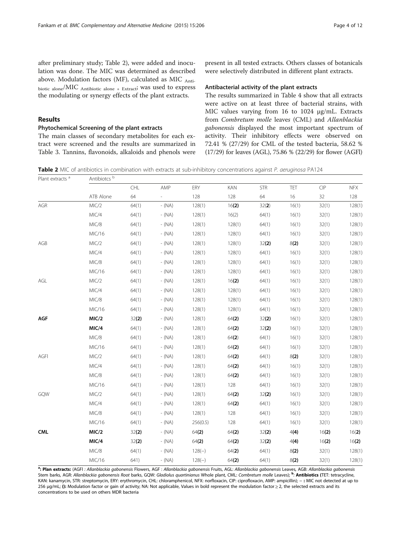<span id="page-3-0"></span>after preliminary study; Table 2), were added and inoculation was done. The MIC was determined as described above. Modulation factors (MF), calculated as MIC  $_{\text{Anti-}}$ biotic alone/MIC Antibiotic alone + Extract; was used to express the modulating or synergy effects of the plant extracts.

## Results

## Phytochemical Screening of the plant extracts

Plant extracts <sup>a</sup> Antibiotcs <sup>b</sup>

The main classes of secondary metabolites for each extract were screened and the results are summarized in Table [3](#page-4-0). Tannins, flavonoids, alkaloids and phenols were

present in all tested extracts. Others classes of botanicals were selectively distributed in different plant extracts.

#### Antibacterial activity of the plant extracts

The results summarized in Table [4](#page-5-0) show that all extracts were active on at least three of bacterial strains, with MIC values varying from 16 to 1024 μg/mL. Extracts from Combretum molle leaves (CML) and Allanblackia gabonensis displayed the most important spectrum of activity. Their inhibitory effects were observed on 72.41 % (27/29) for CML of the tested bacteria, 58.62 % (17/29) for leaves (AGL), 75.86 % (22/29) for flower (AGFl)

Table 2 MIC of antibiotics in combination with extracts at sub-inhibitory concentrations against P. aeruginosa PA124

| <b>I IGHT EVERCIS</b> | AHUDIULUS |       |          |          |        |            |       |       |            |
|-----------------------|-----------|-------|----------|----------|--------|------------|-------|-------|------------|
|                       |           | CHL   | AMP      | ERY      | KAN    | <b>STR</b> | TET   | CIP   | <b>NFX</b> |
|                       | ATB Alone | 64    |          | 128      | 128    | 64         | 16    | 32    | 128        |
| AGR                   | MIC/2     | 64(1) | $- (NA)$ | 128(1)   | 16(2)  | 32(2)      | 16(1) | 32(1) | 128(1)     |
|                       | MIC/4     | 64(1) | $- (NA)$ | 128(1)   | 16(2)  | 64(1)      | 16(1) | 32(1) | 128(1)     |
|                       | MIC/8     | 64(1) | $-$ (NA) | 128(1)   | 128(1) | 64(1)      | 16(1) | 32(1) | 128(1)     |
|                       | MIC/16    | 64(1) | $-$ (NA) | 128(1)   | 128(1) | 64(1)      | 16(1) | 32(1) | 128(1)     |
| AGB                   | MIC/2     | 64(1) | $- (NA)$ | 128(1)   | 128(1) | 32(2)      | 8(2)  | 32(1) | 128(1)     |
|                       | MIC/4     | 64(1) | $-$ (NA) | 128(1)   | 128(1) | 64(1)      | 16(1) | 32(1) | 128(1)     |
|                       | MIC/8     | 64(1) | $- (NA)$ | 128(1)   | 128(1) | 64(1)      | 16(1) | 32(1) | 128(1)     |
|                       | MIC/16    | 64(1) | $-$ (NA) | 128(1)   | 128(1) | 64(1)      | 16(1) | 32(1) | 128(1)     |
| $\mathsf{AGL}$        | MIC/2     | 64(1) | $-$ (NA) | 128(1)   | 16(2)  | 64(1)      | 16(1) | 32(1) | 128(1)     |
|                       | MIC/4     | 64(1) | $-$ (NA) | 128(1)   | 128(1) | 64(1)      | 16(1) | 32(1) | 128(1)     |
|                       | MIC/8     | 64(1) | $-$ (NA) | 128(1)   | 128(1) | 64(1)      | 16(1) | 32(1) | 128(1)     |
|                       | MIC/16    | 64(1) | $-$ (NA) | 128(1)   | 128(1) | 64(1)      | 16(1) | 32(1) | 128(1)     |
| AGF                   | MIC/2     | 32(2) | $- (NA)$ | 128(1)   | 64(2)  | 32(2)      | 16(1) | 32(1) | 128(1)     |
|                       | MIC/4     | 64(1) | $-$ (NA) | 128(1)   | 64(2)  | 32(2)      | 16(1) | 32(1) | 128(1)     |
|                       | MIC/8     | 64(1) | $- (NA)$ | 128(1)   | 64(2)  | 64(1)      | 16(1) | 32(1) | 128(1)     |
|                       | MIC/16    | 64(1) | $-$ (NA) | 128(1)   | 64(2)  | 64(1)      | 16(1) | 32(1) | 128(1)     |
| AGFI                  | MIC/2     | 64(1) | $-$ (NA) | 128(1)   | 64(2)  | 64(1)      | 8(2)  | 32(1) | 128(1)     |
|                       | MIC/4     | 64(1) | $- (NA)$ | 128(1)   | 64(2)  | 64(1)      | 16(1) | 32(1) | 128(1)     |
|                       | MIC/8     | 64(1) | $-$ (NA) | 128(1)   | 64(2)  | 64(1)      | 16(1) | 32(1) | 128(1)     |
|                       | MIC/16    | 64(1) | $-$ (NA) | 128(1)   | 128    | 64(1)      | 16(1) | 32(1) | 128(1)     |
| GQW                   | MIC/2     | 64(1) | $- (NA)$ | 128(1)   | 64(2)  | 32(2)      | 16(1) | 32(1) | 128(1)     |
|                       | MIC/4     | 64(1) | $- (NA)$ | 128(1)   | 64(2)  | 64(1)      | 16(1) | 32(1) | 128(1)     |
|                       | MIC/8     | 64(1) | $-$ (NA) | 128(1)   | 128    | 64(1)      | 16(1) | 32(1) | 128(1)     |
|                       | MIC/16    | 64(1) | $- (NA)$ | 256(0.5) | 128    | 64(1)      | 16(1) | 32(1) | 128(1)     |
| <b>CML</b>            | MIC/2     | 32(2) | $- (NA)$ | 64(2)    | 64(2)  | 32(2)      | 4(4)  | 16(2) | 16(2)      |
|                       | MIC/4     | 32(2) | $-$ (NA) | 64(2)    | 64(2)  | 32(2)      | 4(4)  | 16(2) | 16(2)      |
|                       | MIC/8     | 64(1) | $- (NA)$ | $128(-)$ | 64(2)  | 64(1)      | 8(2)  | 32(1) | 128(1)     |
|                       | MIC/16    | 641)  | $- (NA)$ | $128(-)$ | 64(2)  | 64(1)      | 8(2)  | 32(1) | 128(1)     |

a<br>Brichan extracts: (AGFI : Allanblackia gabonensis Flowers, AGF : Allanblackia gabonensis Fruits, AGL: Allanblackia gabonensis Leaves, AGB: Allanblackia gabonensis Stem barks, AGR: Allanblackia gabonensis Root barks, GQW: Gladiolus quartinianus Whole plant, CML: Combretum molle Leaves); <sup>b</sup>: **Antibiotics (**TET: tetracycline, KAN: kanamycin, STR: streptomycin, ERY: erythromycin, CHL: chloramphenicol, NFX: norfloxacin, CIP: ciprofloxacin, AMP: ampicillin); - : MIC not detected at up to 256 μg/mL; (): Modulation factor or gain of activity; NA: Not applicable, Values in bold represent the modulation factor ≥ 2, the selected extracts and its concentrations to be used on others MDR bacteria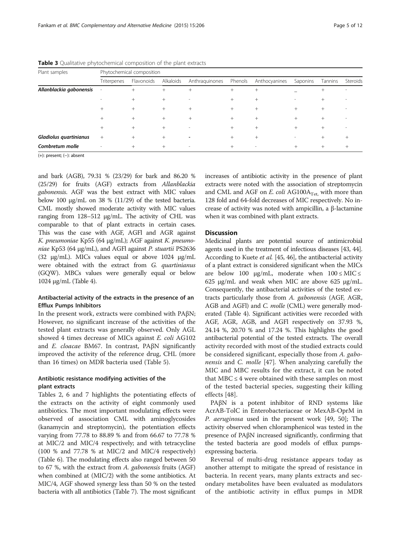| Plant samples           |                          | Phytochemical composition |           |                          |         |               |          |         |          |  |  |  |  |  |
|-------------------------|--------------------------|---------------------------|-----------|--------------------------|---------|---------------|----------|---------|----------|--|--|--|--|--|
|                         | Triterpenes              | Flavonoids                | Alkaloids | Anthraguinones           | Phenols | Anthocyanines | Saponins | Tannins | Steroids |  |  |  |  |  |
| Allanblackia gabonensis | $\overline{\phantom{a}}$ | $^{+}$                    | $^{+}$    | $+$                      | $^{+}$  | $^{+}$        |          | $+$     |          |  |  |  |  |  |
|                         |                          | $^{+}$                    | $^+$      | $\overline{\phantom{a}}$ | $^{+}$  | $^{+}$        | ۰        | $^+$    |          |  |  |  |  |  |
|                         | $^{+}$                   | $^{+}$                    | $^+$      | $^{+}$                   | $^{+}$  | $^{+}$        | $+$      | $^{+}$  |          |  |  |  |  |  |
|                         | $^{+}$                   | $^{+}$                    | $^{+}$    |                          | $^{+}$  | $^{+}$        |          |         |          |  |  |  |  |  |
|                         |                          |                           |           | $\overline{\phantom{a}}$ | $^{+}$  | $^{+}$        |          |         |          |  |  |  |  |  |
| Gladiolus quartinianus  | $^{+}$                   |                           | $^{+}$    |                          | $^{+}$  | $^{+}$        |          | $^{+}$  |          |  |  |  |  |  |
| Combretum molle         | $\overline{\phantom{a}}$ | $^{+}$                    | $+$       | $\overline{\phantom{a}}$ | $+$     | $\,$          | $^{+}$   | $^{+}$  | $^{+}$   |  |  |  |  |  |

<span id="page-4-0"></span>**Table 3** Qualitative phytochemical composition of the plant extracts

(+): present; (−): absent

and bark (AGB), 79.31 % (23/29) for bark and 86.20 % (25/29) for fruits (AGF) extracts from Allanblackia gabonensis. AGF was the best extract with MIC values below 100 μg/mL on 38 % (11/29) of the tested bacteria. CML mostly showed moderate activity with MIC values ranging from 128–512 μg/mL. The activity of CHL was comparable to that of plant extracts in certain cases. This was the case with AGF, AGFl and AGR against K. pneumoniae Kp55 (64 μg/mL); AGF against K. pneumoniae Kp53 (64 μg/mL), and AGFl against P. stuartii PS2636 (32 μg/mL). MICs values equal or above 1024 μg/mL were obtained with the extract from G. quartinianus (GQW). MBCs values were generally equal or below 1024 μg/mL (Table [4\)](#page-5-0).

## Antibacterial activity of the extracts in the presence of an Efflux Pumps Inhibitors

In the present work, extracts were combined with PAβN; However, no significant increase of the activities of the tested plant extracts was generally observed. Only AGL showed 4 times decrease of MICs against E. coli AG102 and E. cloacae BM67. In contrast, PAβN significantly improved the activity of the reference drug, CHL (more than 16 times) on MDR bacteria used (Table [5\)](#page-7-0).

## Antibiotic resistance modifying activities of the plant extracts

Tables [2,](#page-3-0) [6](#page-8-0) and [7](#page-9-0) highlights the potentiating effects of the extracts on the activity of eight commonly used antibiotics. The most important modulating effects were observed of association CML with aminoglycosides (kanamycin and streptomycin), the potentiation effects varying from 77.78 to 88.89 % and from 66.67 to 77.78 % at MIC/2 and MIC/4 respectively; and with tetracycline (100 % and 77.78 % at MIC/2 and MIC/4 respectively) (Table [6\)](#page-8-0). The modulating effects also ranged between 50 to 67 %, with the extract from A. gabonensis fruits (AGF) when combined at (MIC/2) with the some antibiotics. At MIC/4, AGF showed synergy less than 50 % on the tested bacteria with all antibiotics (Table [7](#page-9-0)). The most significant increases of antibiotic activity in the presence of plant extracts were noted with the association of streptomycin and CML and AGF on  $E$ . coli AG100A<sub>Tet</sub>, with more than 128 fold and 64-fold decreases of MIC respectively. No increase of activity was noted with ampicillin, a β-lactamine when it was combined with plant extracts.

## **Discussion**

Medicinal plants are potential source of antimicrobial agents used in the treatment of infectious diseases [[43, 44](#page-11-0)]. According to Kuete et al. [\[45, 46](#page-11-0)], the antibacterial activity of a plant extract is considered significant when the MICs are below 100  $\mu$ g/mL, moderate when  $100 \leq MIC \leq$ 625 μg/mL and weak when MIC are above 625 μg/mL. Consequently, the antibacterial activities of the tested extracts particularly those from A. gabonensis (AGF, AGR, AGB and AGFl) and C. molle (CML) were generally moderated (Table [4](#page-5-0)). Significant activities were recorded with AGF, AGR, AGB, and AGFl respectively on 37.93 %, 24.14 %, 20.70 % and 17.24 %. This highlights the good antibacterial potential of the tested extracts. The overall activity recorded with most of the studied extracts could be considered significant, especially those from A. gabo-nensis and C. molle [[47](#page-11-0)]. When analyzing carefully the MIC and MBC results for the extract, it can be noted that  $MBC \leq 4$  were obtained with these samples on most of the tested bacterial species, suggesting their killing effects [\[48](#page-11-0)].

PAβN is a potent inhibitor of RND systems like AcrAB-TolC in Enterobacteriaceae or MexAB-OprM in P. aeruginosa used in the present work [\[49](#page-11-0), [50](#page-11-0)]; The activity observed when chloramphenicol was tested in the presence of PAβN increased significantly, confirming that the tested bacteria are good models of efflux pumpsexpressing bacteria.

Reversal of multi-drug resistance appears today as another attempt to mitigate the spread of resistance in bacteria. In recent years, many plants extracts and secondary metabolites have been evaluated as modulators of the antibiotic activity in efflux pumps in MDR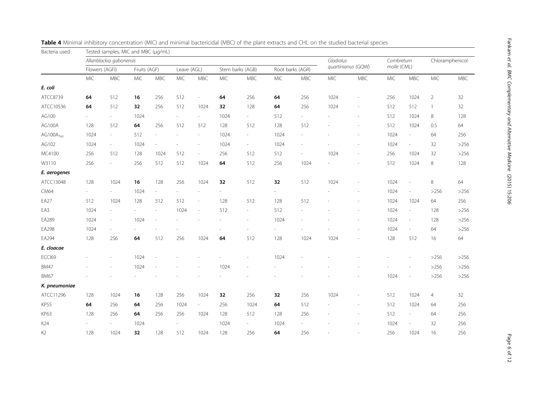<span id="page-5-0"></span>

| Bacteria used         |                          | Tested samples, MIC and MBC (µg/mL) |              |                          |                          |                             |      |                  |            |                     |           |                          |             |                          |                 |            |
|-----------------------|--------------------------|-------------------------------------|--------------|--------------------------|--------------------------|-----------------------------|------|------------------|------------|---------------------|-----------|--------------------------|-------------|--------------------------|-----------------|------------|
|                       |                          | Allanblackia gabonensis             |              |                          |                          |                             |      |                  |            |                     | Gladiolus |                          | Combretum   |                          | Chloramphenicol |            |
|                       | Flowers (AGFI)           |                                     | Fruits (AGF) |                          | Leave (AGL)              |                             |      | Stem barks (AGB) |            | Root barks (AGR)    |           | quartinianus (GQW)       | molle (CML) |                          |                 |            |
|                       | <b>MIC</b>               | <b>MBC</b>                          | <b>MIC</b>   | <b>MBC</b>               | MIC                      | <b>MBC</b>                  | MIC  | MBC              | <b>MIC</b> | <b>MBC</b>          | MIC       | <b>MBC</b>               | <b>MIC</b>  | <b>MBC</b>               | MIC             | <b>MBC</b> |
| E. coli               |                          |                                     |              |                          |                          |                             |      |                  |            |                     |           |                          |             |                          |                 |            |
| ATCC8739              | 64                       | 512                                 | 16           | 256                      | 512                      | $\overline{\phantom{a}}$    | 64   | 256              | 64         | 256                 | 1024      | $\overline{\phantom{a}}$ | 256         | 1024                     | $\overline{2}$  | 32         |
| ATCC10536             | 64                       | 512                                 | 32           | 256                      | 512                      | 1024                        | 32   | 128              | 64         | 256                 | 1024      | $\overline{\phantom{a}}$ | 512         | 512                      | $\mathbf{1}$    | 32         |
| AG100                 |                          | $\overline{\phantom{a}}$            | 1024         |                          | $\overline{\phantom{a}}$ | $\overline{\phantom{a}}$    | 1024 | $\sim$           | 512        | $\mathcal{L}^{\pm}$ |           | $\overline{\phantom{a}}$ | 512         | 1024                     | 8               | 128        |
| AG100A                | 128                      | 512                                 | 64           | 256                      | 512                      | 512                         | 128  | 512              | 128        | 512                 |           | ÷,                       | 512         | 1024                     | 0.5             | 64         |
| AG100A <sub>Tet</sub> | 1024                     | $\sim$                              | 512          | $\overline{\phantom{a}}$ | $\sim$                   | $\overline{\phantom{a}}$    | 1024 | $\sim$           | 1024       | $\sim$              |           |                          | 1024        | $\overline{\phantom{a}}$ | 64              | 256        |
| AG102                 | 1024                     | $\overline{\phantom{a}}$            | 1024         | $\overline{\phantom{a}}$ | ÷,                       |                             | 1024 | ÷.               | 1024       |                     |           |                          | 1024        | $\overline{\phantom{a}}$ | 32              | $>256$     |
| MC4100                | 256                      | 512                                 | 128          | 1024                     | 512                      | $\sim$                      | 256  | 512              | 512        | $\sim$              | 1024      | L,                       | 256         | 1024                     | 32              | >256       |
| W3110                 | 256                      | $\overline{\phantom{a}}$            | 256          | 512                      | 512                      | 1024                        | 64   | 512              | 256        | 1024                |           |                          | 512         | 1024                     | $\,8\,$         | 128        |
| E. aerogenes          |                          |                                     |              |                          |                          |                             |      |                  |            |                     |           |                          |             |                          |                 |            |
| ATCC13048             | 128                      | 1024                                | 16           | 128                      | 256                      | 1024                        | 32   | 512              | 32         | 512                 | 1024      | i,                       | 1024        | $\overline{\phantom{a}}$ | $\,8\,$         | 64         |
| <b>CM64</b>           | $\overline{\phantom{a}}$ | $\overline{\phantom{a}}$            | 1024         | $\overline{\phantom{a}}$ | $\sim$                   |                             | ÷,   |                  | ÷.         |                     |           | ÷,                       | 1024        | $\overline{\phantom{a}}$ | $>256$          | $>256$     |
| EA27                  | 512                      | 1024                                | 128          | 512                      | 512                      | $\overline{\phantom{a}}$    | 128  | 512              | 128        | 512                 |           | L,                       | 1024        | 1024                     | 64              | 256        |
| EA3                   | 1024                     | $\overline{\phantom{a}}$            | L.           | $\overline{\phantom{a}}$ | 1024                     | $\overline{\phantom{a}}$    | 512  | $\overline{a}$   | 512        |                     |           |                          | 1024        | $\overline{\phantom{a}}$ | 128             | >256       |
| EA289                 | 1024                     | $\overline{\phantom{a}}$            | 1024         | $\overline{\phantom{a}}$ |                          |                             |      | ÷                | 1024       |                     |           |                          | 1024        | $\overline{\phantom{a}}$ | 128             | >256       |
| EA298                 | 1024                     | $\overline{\phantom{a}}$            |              |                          |                          |                             |      |                  |            |                     |           |                          | 1024        | $\overline{\phantom{a}}$ | 64              | $>256$     |
| EA294                 | 128                      | 256                                 | 64           | 512                      | 256                      | 1024                        | 64   | 512              | 128        | 1024                | 1024      | L,                       | 128         | 512                      | 16              | 64         |
| E. cloacae            |                          |                                     |              |                          |                          |                             |      |                  |            |                     |           |                          |             |                          |                 |            |
| ECCI69                |                          |                                     | 1024         |                          |                          |                             |      |                  | 1024       |                     |           |                          |             | $\sim$                   | >256            | $>256$     |
| <b>BM47</b>           |                          |                                     | 1024         | ÷,                       |                          |                             | 1024 |                  |            |                     |           |                          |             | $\sim$                   | $>256$          | $>256$     |
| <b>BM67</b>           |                          |                                     |              |                          |                          |                             |      |                  |            |                     |           |                          | 1024        | $\overline{\phantom{a}}$ | $>256$          | >256       |
| K. pneumoniae         |                          |                                     |              |                          |                          |                             |      |                  |            |                     |           |                          |             |                          |                 |            |
| ATCC11296             | 128                      | 1024                                | 16           | 128                      | 256                      | 1024                        | 32   | 256              | 32         | 256                 | 1024      |                          | 512         | 1024                     | $\overline{4}$  | 32         |
| <b>KP55</b>           | 64                       | 256                                 | 64           | 256                      | 1024                     | $\mathcal{L}_{\mathcal{A}}$ | 256  | 1024             | 64         | 512                 |           | L,                       | 512         | 1024                     | 64              | 256        |
| <b>KP63</b>           | 128                      | 256                                 | 64           | 256                      | 256                      | 1024                        | 128  | 512              | 128        | 256                 |           | $\overline{a}$           | 512         | $\overline{\phantom{a}}$ | 64              | 256        |
| K24                   |                          | $\overline{\phantom{a}}$            | 1024         |                          | $\overline{a}$           |                             | 1024 | $\sim$           | 1024       |                     |           |                          | 1024        | $\overline{\phantom{a}}$ | 32              | 256        |
| K <sub>2</sub>        | 128                      | 1024                                | 32           | 128                      | 512                      | 1024                        | 128  | 256              | 64         | 256                 |           |                          | 256         | 1024                     | 16              | 256        |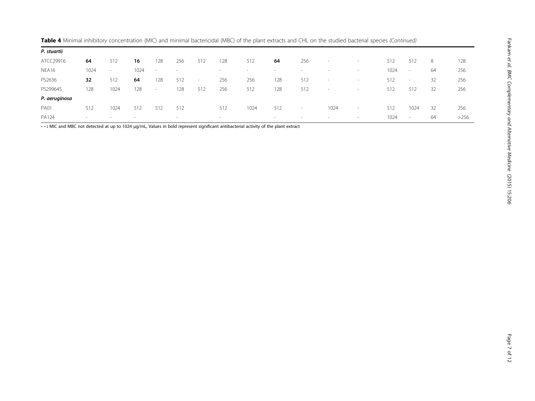| P. stuartii   |        |        |      |        |        |        |                          |      |     |                          |                          |                          |      |                          |    |      |
|---------------|--------|--------|------|--------|--------|--------|--------------------------|------|-----|--------------------------|--------------------------|--------------------------|------|--------------------------|----|------|
| ATCC29916     | 64     | 512    | 16   | 128    | 256    | 512    | 128                      | 512  | 64  | 256                      | $\overline{\phantom{a}}$ | $\overline{\phantom{a}}$ | 512  | 512                      | 8  | 128  |
| NEA16         | 1024   | $\sim$ | 1024 | $\sim$ |        |        | $\overline{\phantom{a}}$ |      |     |                          |                          | $\sim$                   | 1024 | $\sim$                   | 64 | 256  |
| PS2636        | 32     | 512    | 64   | 128    | 512    | $\sim$ | 256                      | 256  | 128 | 512                      | $\overline{\phantom{a}}$ | $\overline{\phantom{a}}$ | 512  | $\overline{\phantom{a}}$ | 32 | 256  |
| PS299645      | 128    | 1024   | 128  | $\sim$ | 128    | 512    | 256                      | 512  | 128 | 512                      |                          | $\overline{\phantom{a}}$ | 512  | 512                      | 32 | 256  |
| P. aeruginosa |        |        |      |        |        |        |                          |      |     |                          |                          |                          |      |                          |    |      |
| <b>PA01</b>   | 512    | 1024   | 512  | 512    | 512    |        | 512                      | 1024 | 512 | $\overline{\phantom{a}}$ | 1024                     | $\sim$                   | 512  | 1024                     | 32 | 256  |
| PA124         | $\sim$ |        |      |        | $\sim$ |        | $\sim$                   |      | -   |                          |                          | $\sim$                   | 1024 | $\overline{\phantom{a}}$ | 64 | >256 |

Table 4 Minimal inhibitory concentration (MIC) and minimal bactericidal (MBC) of the plant extracts and CHL on the studied bacterial species (Continued)

--: MIC and MBC not detected at up to 1024 μg/mL, Values in bold represent significant antibacterial activity of the plant extract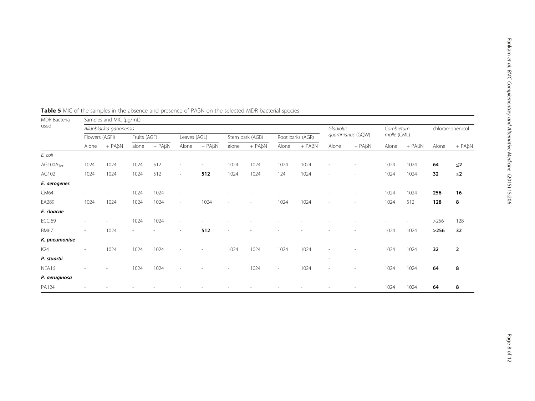| MDR Bacteria          |                | Samples and MIC (µg/mL) |              |                  |                          |               |                          |                  |                          |                  |                          |                          |             |                  |                 |                  |
|-----------------------|----------------|-------------------------|--------------|------------------|--------------------------|---------------|--------------------------|------------------|--------------------------|------------------|--------------------------|--------------------------|-------------|------------------|-----------------|------------------|
| used                  |                | Allanblackia gabonensis |              |                  |                          |               |                          |                  |                          |                  | Gladiolus                |                          | Combretum   |                  | chloramphenicol |                  |
|                       | Flowers (AGFI) |                         | Fruits (AGF) |                  | Leaves (AGL)             |               |                          | Stem bark (AGB)  | Root barks (AGR)         |                  | quartinianus (GQW)       |                          | molle (CML) |                  |                 |                  |
|                       | Alone          | $+$ PA $\beta$ N        | alone        | $+$ PA $\beta$ N | Alone                    | $+ PA\beta N$ | alone                    | $+$ PA $\beta$ N | Alone                    | $+$ PA $\beta$ N | Alone                    | $+$ PA $\beta$ N         | Alone       | $+$ PA $\beta$ N | Alone           | $+$ PA $\beta$ N |
| E. coli               |                |                         |              |                  |                          |               |                          |                  |                          |                  |                          |                          |             |                  |                 |                  |
| AG100A <sub>Tet</sub> | 1024           | 1024                    | 1024         | 512              | $\overline{\phantom{a}}$ |               | 1024                     | 1024             | 1024                     | 1024             |                          |                          | 1024        | 1024             | 64              | $\leq$ 2         |
| AG102                 | 1024           | 1024                    | 1024         | 512              | $\overline{\phantom{a}}$ | 512           | 1024                     | 1024             | 124                      | 1024             | $\overline{\phantom{a}}$ | $\overline{\phantom{a}}$ | 1024        | 1024             | 32              | $\leq$ 2         |
| E. aerogenes          |                |                         |              |                  |                          |               |                          |                  |                          |                  |                          |                          |             |                  |                 |                  |
| CM64                  |                |                         | 1024         | 1024             |                          |               |                          |                  |                          |                  |                          |                          | 1024        | 1024             | 256             | 16               |
| EA289                 | 1024           | 1024                    | 1024         | 1024             | $\sim$                   | 1024          | $\overline{\phantom{a}}$ |                  | 1024                     | 1024             | $\overline{\phantom{a}}$ |                          | 1024        | 512              | 128             | 8                |
| E. cloacae            |                |                         |              |                  |                          |               |                          |                  |                          |                  |                          |                          |             |                  |                 |                  |
| ECCI69                |                |                         | 1024         | 1024             | $\overline{\phantom{a}}$ |               |                          |                  |                          |                  |                          |                          |             |                  | >256            | 128              |
| <b>BM67</b>           |                | 1024                    |              |                  | $\overline{\phantom{a}}$ | 512           |                          |                  |                          |                  |                          |                          | 1024        | 1024             | >256            | 32               |
| K. pneumoniae         |                |                         |              |                  |                          |               |                          |                  |                          |                  |                          |                          |             |                  |                 |                  |
| K24                   |                | 1024                    | 1024         | 1024             |                          |               | 1024                     | 1024             | 1024                     | 1024             |                          |                          | 1024        | 1024             | 32              | $\overline{2}$   |
| P. stuartii           |                |                         |              |                  |                          |               |                          |                  |                          |                  | $\overline{\phantom{a}}$ |                          |             |                  |                 |                  |
| NEA16                 |                |                         | 1024         | 1024             |                          |               |                          | 1024             | $\overline{\phantom{a}}$ | 1024             |                          |                          | 1024        | 1024             | 64              | 8                |
| P. aeruginosa         |                |                         |              |                  |                          |               |                          |                  |                          |                  |                          |                          |             |                  |                 |                  |
| PA124                 |                |                         |              |                  |                          |               |                          |                  |                          |                  |                          |                          | 1024        | 1024             | 64              | 8                |

<span id="page-7-0"></span>Table 5 MIC of the samples in the absence and presence of PABN on the selected MDR bacterial species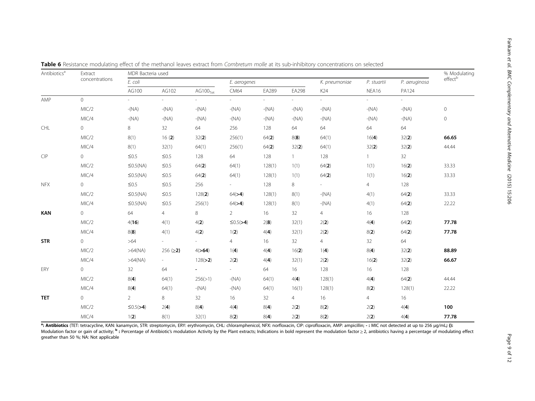| Antibiotics <sup>a</sup> | Extract        | MDR Bacteria used |                          |                       |                 |         |                          |               |                |                | % Modulating |
|--------------------------|----------------|-------------------|--------------------------|-----------------------|-----------------|---------|--------------------------|---------------|----------------|----------------|--------------|
|                          | concentrations | E. coli           |                          |                       | E. aerogenes    |         |                          | K. pneumoniae | P. stuartii    | P. aeruginosa  | effectb      |
|                          |                | AG100             | AG102                    | AG100 <sub>Test</sub> | CM64            | EA289   | EA298                    | K24           | NEA16          | PA124          |              |
| AMP                      | $\Omega$       | $\sim$            | $\sim$                   | $\sim$                | $\sim 10$       |         | $\overline{\phantom{a}}$ | $\sim 10$     | $\sim 10^{-1}$ | $\sim 10^{-1}$ |              |
|                          | MIC/2          | $-(NA)$           | $-(NA)$                  | $-(NA)$               | $-(NA)$         | $-(NA)$ | $-(NA)$                  | $-(NA)$       | $-(NA)$        | $-(NA)$        | $\mathbf 0$  |
|                          | MIC/4          | $-(NA)$           | $-(NA)$                  | $-(NA)$               | $-(NA)$         | $-(NA)$ | $-(NA)$                  | $-(NA)$       | $-(NA)$        | $-(NA)$        | $\circ$      |
| CHL                      | $\circ$        | 8                 | 32                       | 64                    | 256             | 128     | 64                       | 64            | 64             | 64             |              |
|                          | MIC/2          | 8(1)              | 16(2)                    | 32(2)                 | 256(1)          | 64(2)   | 8(8)                     | 64(1)         | 16(4)          | 32(2)          | 66.65        |
|                          | MIC/4          | 8(1)              | 32(1)                    | 64(1)                 | 256(1)          | 64(2)   | 32(2)                    | 64(1)         | 32(2)          | 32(2)          | 44.44        |
| CIP                      | $\overline{0}$ | $\leq 0.5$        | $\leq 0.5$               | 128                   | 64              | 128     | $\mathbf{1}$             | 128           | $\mathbf{1}$   | 32             |              |
|                          | MIC/2          | $\leq$ 0.5(NA)    | $\leq 0.5$               | 64(2)                 | 64(1)           | 128(1)  | 1(1)                     | 64(2)         | 1(1)           | 16(2)          | 33.33        |
|                          | MIC/4          | $\leq$ 0.5(NA)    | $\leq 0.5$               | 64(2)                 | 64(1)           | 128(1)  | 1(1)                     | 64(2)         | 1(1)           | 16(2)          | 33.33        |
| <b>NFX</b>               | $\circ$        | $\leq 0.5$        | $\leq 0.5$               | 256                   | $\sim$          | 128     | 8                        | $\sim 100$    | $\overline{4}$ | 128            |              |
|                          | MIC/2          | $\leq$ 0.5(NA)    | $\leq 0.5$               | 128(2)                | 64(>4)          | 128(1)  | 8(1)                     | $-(NA)$       | 4(1)           | 64(2)          | 33.33        |
|                          | MIC/4          | $\leq$ 0.5(NA)    | $\leq 0.5$               | 256(1)                | 64(>4)          | 128(1)  | 8(1)                     | $-(NA)$       | 4(1)           | 64(2)          | 22.22        |
| <b>KAN</b>               | $\overline{0}$ | 64                | 4                        | 8                     | $2^{\circ}$     | 16      | 32                       | 4             | 16             | 128            |              |
|                          | MIC/2          | 4(16)             | 4(1)                     | 4(2)                  | $\leq 0.5$ (>4) | 2(8)    | 32(1)                    | 2(2)          | 4(4)           | 64(2)          | 77.78        |
|                          | MIC/4          | 8(8)              | 4(1)                     | 4(2)                  | 1(2)            | 4(4)    | 32(1)                    | 2(2)          | 8(2)           | 64(2)          | 77.78        |
| <b>STR</b>               | $\overline{0}$ | >64               | $\overline{\phantom{a}}$ | $\sim$                | $\overline{4}$  | 16      | 32                       | 4             | 32             | 64             |              |
|                          | MIC/2          | >64(NA)           | 256 $(≥2)$               | 4(>64)                | 1(4)            | 4(4)    | 16(2)                    | 1(4)          | 8(4)           | 32(2)          | 88.89        |
|                          | MIC/4          | >64(NA)           | $\sim$                   | 128(>2)               | 2(2)            | 4(4)    | 32(1)                    | 2(2)          | 16(2)          | 32(2)          | 66.67        |
| ERY                      | $\overline{0}$ | 32                | 64                       |                       | $\sim$          | 64      | 16                       | 128           | 16             | 128            |              |
|                          | MIC/2          | 8(4)              | 64(1)                    | 256(>1)               | $-(NA)$         | 64(1)   | 4(4)                     | 128(1)        | 4(4)           | 64(2)          | 44.44        |
|                          | MIC/4          | 8(4)              | 64(1)                    | $-(NA)$               | $-(NA)$         | 64(1)   | 16(1)                    | 128(1)        | 8(2)           | 128(1)         | 22.22        |
| <b>TET</b>               | $\overline{0}$ | $\overline{2}$    | 8                        | 32                    | 16              | 32      | $\overline{4}$           | 16            | 4              | 16             |              |
|                          | MIC/2          | $\leq 0.5$ (>4)   | 2(4)                     | 8(4)                  | 4(4)            | 8(4)    | 2(2)                     | 8(2)          | 2(2)           | 4(4)           | 100          |
|                          | MIC/4          | 1(2)              | 8(1)                     | 32(1)                 | 8(2)            | 8(4)    | 2(2)                     | 8(2)          | 2(2)           | 4(4)           | 77.78        |

<span id="page-8-0"></span>Table 6 Resistance modulating effect of the methanol leaves extract from Combretum molle at its sub-inhibitory concentrations on selected

at **Antibiotics** (TET: tetracycline, KAN: kanamycin, STR: streptomycin, ERY: erythromycin, CHL: chloramphenicol, NFX: norfloxacin, CIP: ciprofloxacin, AMP: ampicillin; - : MIC not detected at up to 256 μg/mL**; ():**<br>Modula greather than 50 %; NA: Not applicable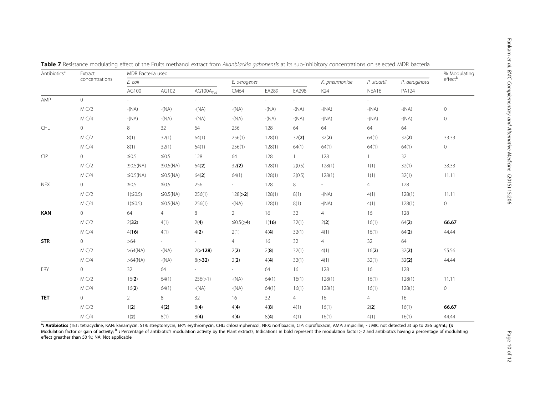| Antibiotics <sup>a</sup> | Extract        | MDR Bacteria used |                |                       |                     |         |         |                |                 |                          | % Modulating   |
|--------------------------|----------------|-------------------|----------------|-----------------------|---------------------|---------|---------|----------------|-----------------|--------------------------|----------------|
|                          | concentrations | E. coli           |                |                       | E. aerogenes        |         |         | K. pneumoniae  | P. stuartii     | P. aeruginosa            | effectb        |
|                          |                | AG100             | AG102          | AG100A <sub>Tet</sub> | CM64                | EA289   | EA298   | K24            | NEA16           | PA124                    |                |
| AMP                      | $\overline{0}$ | $\sim$            | $\sim$         | $\overline{a}$        | $\sim$              | $\sim$  | $\sim$  | $\sim$         | $\sim$ 10 $\pm$ | $\overline{\phantom{a}}$ |                |
|                          | MIC/2          | $-(NA)$           | $-(NA)$        | $-(NA)$               | $-(NA)$             | $-(NA)$ | $-(NA)$ | $-(NA)$        | $-(NA)$         | $-(NA)$                  | $\circ$        |
|                          | MIC/4          | $-(NA)$           | $-(NA)$        | $-(NA)$               | $-(NA)$             | $-(NA)$ | $-(NA)$ | $-(NA)$        | $-(NA)$         | $-(NA)$                  | $\circ$        |
| CHL                      | $\overline{0}$ | 8                 | 32             | 64                    | 256                 | 128     | 64      | 64             | 64              | 64                       |                |
|                          | MIC/2          | 8(1)              | 32(1)          | 64(1)                 | 256(1)              | 128(1)  | 32(2)   | 32(2)          | 64(1)           | 32(2)                    | 33.33          |
|                          | MIC/4          | 8(1)              | 32(1)          | 64(1)                 | 256(1)              | 128(1)  | 64(1)   | 64(1)          | 64(1)           | 64(1)                    | $\circ$        |
| CIP                      | $\overline{0}$ | $\leq 0.5$        | $\leq 0.5$     | 128                   | 64                  | 128     | $1 -$   | 128            | $\mathbf{1}$    | 32                       |                |
|                          | MIC/2          | $\leq$ 0.5(NA)    | $\leq$ 0.5(NA) | 64(2)                 | 32(2)               | 128(1)  | 2(0.5)  | 128(1)         | 1(1)            | 32(1)                    | 33.33          |
|                          | MIC/4          | $\leq$ 0.5(NA)    | $\leq$ 0.5(NA) | 64(2)                 | 64(1)               | 128(1)  | 2(0.5)  | 128(1)         | 1(1)            | 32(1)                    | 11.11          |
| <b>NFX</b>               | $\circ$        | $\leq 0.5$        | $\leq 0.5$     | 256                   | $\sim$              | 128     | 8       | - 1            | $\overline{4}$  | 128                      |                |
|                          | MIC/2          | 1(50.5)           | $\leq$ 0.5(NA) | 256(1)                | 128(>2)             | 128(1)  | 8(1)    | $-(NA)$        | 4(1)            | 128(1)                   | 11.11          |
|                          | MIC/4          | 1(50.5)           | $\leq$ 0.5(NA) | 256(1)                | $-(NA)$             | 128(1)  | 8(1)    | $-(NA)$        | 4(1)            | 128(1)                   | $\circ$        |
| <b>KAN</b>               | $\overline{0}$ | 64                | 4              | 8                     | $\overline{2}$      | 16      | 32      | $\overline{4}$ | 16              | 128                      |                |
|                          | MIC/2          | 2(32)             | 4(1)           | 2(4)                  | $\leq 0.5 (\geq 4)$ | 1(16)   | 32(1)   | 2(2)           | 16(1)           | 64(2)                    | 66.67          |
|                          | MIC/4          | 4(16)             | 4(1)           | 4(2)                  | 2(1)                | 4(4)    | 32(1)   | 4(1)           | 16(1)           | 64(2)                    | 44.44          |
| <b>STR</b>               | $\overline{0}$ | $>64$             | $\sim$         | $\sim$                | $\overline{4}$      | 16      | 32      | $\overline{4}$ | 32              | 64                       |                |
|                          | MIC/2          | >64(NA)           | $-(NA)$        | 2(>128)               | 2(2)                | 2(8)    | 32(1)   | 4(1)           | 16(2)           | 32(2)                    | 55.56          |
|                          | MIC/4          | >64(NA)           | $-(NA)$        | 8(>32)                | 2(2)                | 4(4)    | 32(1)   | 4(1)           | 32(1)           | 32(2)                    | 44.44          |
| ERY                      | $\overline{0}$ | 32                | 64             | $\sim$ 10 $\pm$       | $\sim$              | 64      | 16      | 128            | 16              | 128                      |                |
|                          | MIC/2          | 16(2)             | 64(1)          | 256(>1)               | $-(NA)$             | 64(1)   | 16(1)   | 128(1)         | 16(1)           | 128(1)                   | 11.11          |
|                          | MIC/4          | 16(2)             | 64(1)          | $-(NA)$               | $-(NA)$             | 64(1)   | 16(1)   | 128(1)         | 16(1)           | 128(1)                   | $\overline{0}$ |
| <b>TET</b>               | $\overline{0}$ | $\overline{2}$    | 8              | 32                    | 16                  | 32      | 4       | 16             | $\overline{4}$  | 16                       |                |
|                          | MIC/2          | 1(2)              | 4(2)           | 8(4)                  | 4(4)                | 4(8)    | 4(1)    | 16(1)          | 2(2)            | 16(1)                    | 66.67          |
|                          | MIC/4          | 1(2)              | 8(1)           | 8(4)                  | 4(4)                | 8(4)    | 4(1)    | 16(1)          | 4(1)            | 16(1)                    | 44.44          |

<span id="page-9-0"></span>Table 7 Resistance modulating effect of the Fruits methanol extract from Allanblackia gabonensis at its sub-inhibitory concentrations on selected MDR bacteria

**ª: Antibiotics** (TET: tetracycline, KAN: kanamycin, STR: streptomycin, ERY: erythromycin, CHL: chloramphenicol, NFX: norfloxacin, CIP: ciprofloxacin, AMP: ampicillin; - : MIC not detected at up to 256 µg/mL**; ():**<br>Modula effect greather than 50 %; NA: Not applicable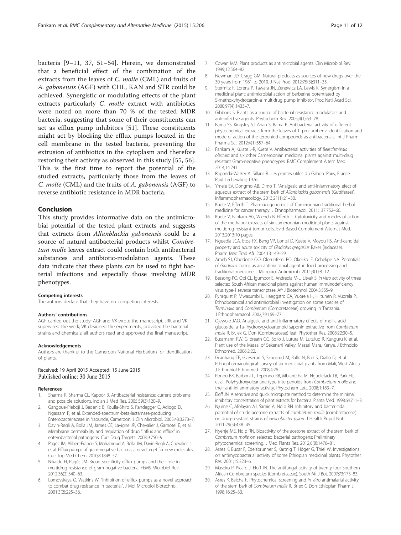<span id="page-10-0"></span>bacteria [9–11, [37, 51](#page-11-0)–[54\]](#page-11-0). Herein, we demonstrated that a beneficial effect of the combination of the extracts from the leaves of C. molle (CML) and fruits of A. gabonensis (AGF) with CHL, KAN and STR could be achieved. Synergistic or modulating effects of the plant extracts particularly C. molle extract with antibiotics were noted on more than 70 % of the tested MDR bacteria, suggesting that some of their constituents can act as efflux pump inhibitors [\[51](#page-11-0)]. These constituents might act by blocking the efflux pumps located in the cell membrane in the tested bacteria, preventing the extrusion of antibiotics in the cytoplasm and therefore restoring their activity as observed in this study [[55](#page-11-0), [56](#page-11-0)]. This is the first time to report the potential of the studied extracts, particularly those from the leaves of C. molle (CML) and the fruits of A. gabonensis (AGF) to reverse antibiotic resistance in MDR bacteria.

## Conclusion

This study provides informative data on the antimicrobial potential of the tested plant extracts and suggests that extracts from Allanblackia gabonensis could be a source of natural antibacterial products whilst Combretum molle leaves extract could contain both antibacterial substances and antibiotic-modulation agents. These data indicate that these plants can be used to fight bacterial infections and especially those involving MDR phenotypes.

#### Competing interests

The authors declare that they have no competing interests.

#### Authors' contributions

AGF carried out the study; AGF and VK wrote the manuscript; JRK and VK supervised the work; VK designed the experiments, provided the bacterial strains and chemicals; all authors read and approved the final manuscript.

#### Acknowledgements

Authors are thankful to the Cameroon National Herbarium for identification of plants.

#### Received: 19 April 2015 Accepted: 15 June 2015 Published online: 30 June 2015

#### References

- 1. Sharma R, Sharma CL, Kapoor B. Antibacterial resistance: current problems and possible solutions. Indian J Med Res. 2005;59(3):120–9.
- 2. Gangoue-Pieboji J, Bedenic B, Koulla-Shiro S, Randegger C, Adiogo D, Ngassam P, et al. Extended-spectrum-beta-lactamase-producing Enterobacteriaceae in Yaounde, Cameroon. J Clin Microbiol. 2005;43:3273–7.
- 3. Davin-Regli A, Bolla JM, James CE, Lavigne JP, Chevalier J, Garnotel E, et al. Membrane permeability and regulation of drug "influx and efflux" in enterobacterial pathogens. Curr Drug Targets. 2008;9:750–9.
- 4. Pagès JM, Alibert-Franco S, Mahamoud A, Bolla JM, Davin-Regli A, Chevalier J, et al. Efflux pumps of gram-negative bacteria, a new target for new molecules. Curr Top Med Chem. 2010;8:1848–57.
- 5. Nikaido H, Pagès JM. Broad specificity efflux pumps and their role in multidrug resistance of gram negative bacteria. FEMS Microbiol Rev. 2012;36(2):340–63.
- Lomovskaya O, Watkins W. "Inhibition of efflux pumps as a novel approach to combat drug resistance in bacteria.". J Mol Microbiol Biotechnol. 2001;3(2):225–36.
- 7. Cowan MM. Plant products as antimicrobial agents. Clin Microbiol Rev. 1999;12:564–82.
- 8. Newman JD, Cragg GM. Natural products as sources of new drugs over the 30 years from 1981 to 2010. J Nat Prod. 2012;75(3):311–35.
- 9. Stermitz F, Lorenz P, Tawara JN, Zenewicz LA, Lewis K. Synergism in a medicinal plant: antimicrobial action of berberine potentiated by S-methoxyhydrocarpin-a multidrug pump inhibitor. Proc Natl Acad Sci. 2000;97(4):1433–7.
- 10. Gibbons S. Plants as a source of bacterial resistance modulators and anti-infective agents. Phytochem Rev. 2005;4(1):63–78.
- 11. Bama SS, Kingsley SJ, Anan S, Bama P. Antibacterial activity of different phytochemical extracts from the leaves of T. procumbens: Identification and mode of action of the terpeniod compounds as antibacterials. Int J Pharm Pharma Sci. 2012;4(1):557–64.
- 12. Fankam A, Kuiate J-R, Kuete V. Antibacterial activities of Beilschmiedia obscura and six other Cameroonian medicinal plants against multi-drug resistant Gram-negative phenotypes. BMC Complement Altern Med. 2014;14:241.
- 13. Raponda-Walker A, Sillans R. Les plantes utiles du Gabon. Paris, France: Paul Lechevalier; 1976.
- 14. Ymele EV, Dongmo AB, Dimo T. "Analgesic and anti-inlammatory efect of aqueous extract of the stem bark of Allanblackia gabonensis (Guttiferae)". Inflammopharmacology. 2013;21(1):21–30.
- 15. Kuete V, Efferth T. Pharmacogenomics of Cameroonian traditional herbal medicine for cancer therapy. J Ethnopharmacol. 2011;137:752–66.
- 16. Kuete V, Fankam AG, Wiench B, Efferth T. Cytotoxicity and modes of action of the methanol extracts of six cameroonian medicinal plants against multidrug-resistant tumor cells. Evid Based Complement Alternat Med. 2013;2013:10 pages.
- 17. Nguedia JCA, Etoa FX, Beng VP, Lontsi D, Kuete V, Moyou RS. Anti-candidal property and acute toxicity of Gladiolus gregasius Baker (Iridaceae). Pharm Méd Trad Afr. 2004;13:149–59.
- 18. Ameh SJ, Obodozie OO, Olorunfemi PO, Okoliko IE, Ochekpe NA. Potentials of Gladiolus corms as an antimicrobial agent in food processing and traditional medicine. J Microbiol Antimicrob. 2011;3(1):8–12.
- 19. Bessong PO, Obi CL, Igumbor E, Andreola M-L, Litvak S. In vitro activity of three selected South African medicinal plants against human immunodeficiency virus type-1 reverse transcriptase. Afr J Biotechnol. 2004;3:555–9.
- 20. Fyhrquist P, Mwasumbi L, Haeggstro CA, Vuorela H, Hiltunen R, Vuorela P. Ethnobotanical and antimicrobial investigation on some species of Terminalia and Combretum (Combretaceae) growing in Tanzania. J Ethnopharmacol. 2002;79:169–77.
- 21. Ojewole JAO. Analgesic and anti-inflammatory effects of mollic acid glucoside, a 1a- hydroxycycloartenoid saponin extractive from Combretum molle R. Br. ex G. Don (Combretaceae) leaf. Phytother Res. 2008;22:30–5.
- 22. Bussmann RW, Gilbreath GG, Soilo J, Lutura M, Lutuluo R, Kunguru K, et al. Plant use of the Massai of Sekenani Valley, Massai Mara, Kenya. J Ethnobiol Ethnomed. 2006;2:22.
- 23. Grønhaug TE, Glæserud S, Skogsrud M, Ballo N, Bah S, Diallo D, et al. Ethnopharmacological survey of six medicinal plants from Mali, West Africa. J Ethnobiol Ethnomed. 2008;4:26.
- 24. Ponou BK, Barboni L, Teponno RB, Mbiantcha M, Nguelefack TB, Park HJ, et al. Polyhydroxyoleanane-type triterpenoids from Combretum molle and their anti-inflammatory activity. Phytochem Lett. 2008;1:183–7.
- 25. Eloff JN. A sensitive and quick microplate method to determine the minimal inhibitory concentration of plant extracts for bacteria. Planta Med. 1998;64:711–3.
- 26. Njume C, Afolayan AJ, Samie A, Ndip RN. Inhibitory and bactericidal potential of crude acetone extracts of combretum molle (combretaceae) on drug-resistant strains of Helicobacter pylori. J Health Popul Nutr. 2011;29(5):438–45.
- 27. Nyenje ME, Ndip RN. Bioactivity of the acetone extract of the stem bark of Combretum molle on selected bacterial pathogens: Preliminary phytochemical screening. J Med Plants Res. 2012;6(8):1476–81.
- 28. Asres K, Bucar F, Edelsbrunner S, Kartnig T, Höger G, Thiel W. Investigations on antimycobacterial activity of some Ethiopian medicinal plants. Phytother Res. 2001;15:323–6.
- 29. Masoko P, Picard J, Eloff JN. The antifungal activity of twenty-four Southern African Combretum species (Combretaceae). South Afr J Bot. 2007;73:173–83.
- 30. Asres K, Balcha F. Phytochemical screening and in vitro antimalarial activity of the stem bark of Combretum molle R. Br ex G Don Ethiopian Pharm J. 1998;16:25–33.